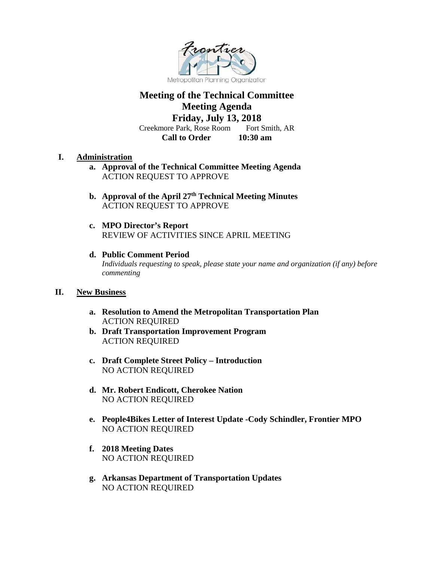

# **Meeting of the Technical Committee Meeting Agenda Friday, July 13, 2018**

Creekmore Park, Rose Room Fort Smith, AR<br>Call to Order 10:30 am **Call to Order** 

## **I. Administration**

- **a. Approval of the Technical Committee Meeting Agenda** ACTION REQUEST TO APPROVE
- **b. Approval of the April 27th Technical Meeting Minutes**  ACTION REQUEST TO APPROVE
- **c. MPO Director's Report**  REVIEW OF ACTIVITIES SINCE APRIL MEETING
- **d. Public Comment Period** *Individuals requesting to speak, please state your name and organization (if any) before commenting*

## **II. New Business**

- **a. Resolution to Amend the Metropolitan Transportation Plan** ACTION REQUIRED
- **b. Draft Transportation Improvement Program** ACTION REQUIRED
- **c. Draft Complete Street Policy – Introduction** NO ACTION REQUIRED
- **d. Mr. Robert Endicott, Cherokee Nation** NO ACTION REQUIRED
- **e. People4Bikes Letter of Interest Update -Cody Schindler, Frontier MPO** NO ACTION REQUIRED
- **f. 2018 Meeting Dates** NO ACTION REQUIRED
- **g. Arkansas Department of Transportation Updates** NO ACTION REQUIRED